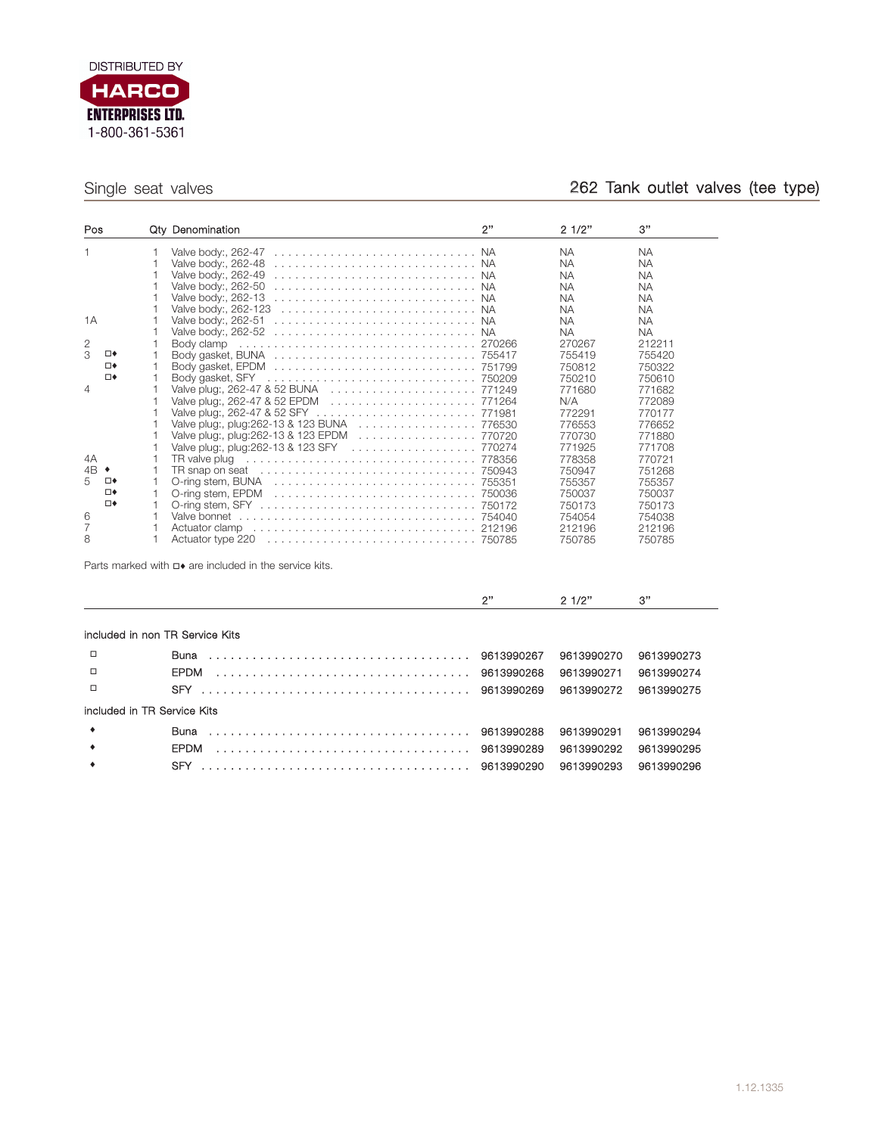

## Single seat valves 262 Tank outlet valves (tee type)

| Pos            |   | <b>Qty Denomination</b>                                           | 2"         | 21/2"      | 3"         |
|----------------|---|-------------------------------------------------------------------|------------|------------|------------|
| 1              | 1 | Valve body:, 262-47                                               |            | NA.        | <b>NA</b>  |
|                | 1 | Valve body:, 262-48                                               |            | <b>NA</b>  | <b>NA</b>  |
|                | 1 | Valve body:, 262-49                                               |            | <b>NA</b>  | <b>NA</b>  |
|                | 1 | Valve body:, 262-50                                               |            | <b>NA</b>  | <b>NA</b>  |
|                | 1 | Valve body:, 262-13                                               |            | <b>NA</b>  | <b>NA</b>  |
|                | 1 | Valve body:, 262-123                                              |            | <b>NA</b>  | <b>NA</b>  |
| 1A             | 1 | Valve body:, 262-51                                               |            | <b>NA</b>  | <b>NA</b>  |
|                | 1 |                                                                   |            | <b>NA</b>  | <b>NA</b>  |
| 2              | 1 | Body clamp                                                        |            | 270267     | 212211     |
| 3<br>□◆        | 1 |                                                                   |            | 755419     | 755420     |
| □◆             | 1 |                                                                   |            | 750812     | 750322     |
| □◆             | 1 | Body gasket, SFY                                                  |            | 750210     | 750610     |
| $\overline{4}$ | 1 | Valve plug:, 262-47 & 52 BUNA                                     |            | 771680     | 771682     |
|                | 1 | Valve plug:, 262-47 & 52 EPDM                                     |            | N/A        | 772089     |
|                | 1 |                                                                   |            | 772291     | 770177     |
|                | 1 | Valve plug:, plug: 262-13 & 123 BUNA<br>. 776530                  |            | 776553     | 776652     |
|                | 1 | Valve plug:, plug: 262-13 & 123 EPDM<br>. 770720                  |            | 770730     | 771880     |
|                | 1 | Valve plug:, plug: 262-13 & 123 SFY<br>. 770274                   |            | 771925     | 771708     |
| 4A             |   | TR valve plug                                                     |            | 778358     | 770721     |
| $4B \bullet$   | 1 | TR snap on seat                                                   |            | 750947     | 751268     |
| 5<br>□◆        | 1 | O-ring stem, BUNA                                                 |            | 755357     | 755357     |
| □◆             | 1 | O-ring stem, EPDM                                                 |            | 750037     | 750037     |
| □◆             | 1 |                                                                   |            | 750173     | 750173     |
| 6              | 1 |                                                                   |            | 754054     | 754038     |
| 7              | 1 | Actuator clamp                                                    |            | 212196     | 212196     |
| 8              | 1 | Actuator type 220                                                 |            | 750785     | 750785     |
|                |   | Parts marked with $\Box\bullet$ are included in the service kits. |            |            |            |
|                |   |                                                                   | 2"         | 21/2"      | 3"         |
|                |   | included in non TR Service Kits                                   |            |            |            |
| □              |   | <b>Buna</b>                                                       | 9613990267 | 9613990270 | 9613990273 |
| $\Box$         |   | <b>EPDM</b>                                                       | 9613990268 | 9613990271 | 9613990274 |
| $\Box$         |   | SFY                                                               | 9613990269 | 9613990272 | 9613990275 |
|                |   | included in TR Service Kits                                       |            |            |            |
|                |   | Buna                                                              | 9613990288 | 9613990291 | 9613990294 |
|                |   | <b>EPDM</b>                                                       | 9613990289 | 9613990292 | 9613990295 |

a<sup>ᅁ</sup> SFY . . . . . . . . . . . . . . . . . . . . . . . . . . . . . . . . . . . . . 9613990290 9613990293 9613990296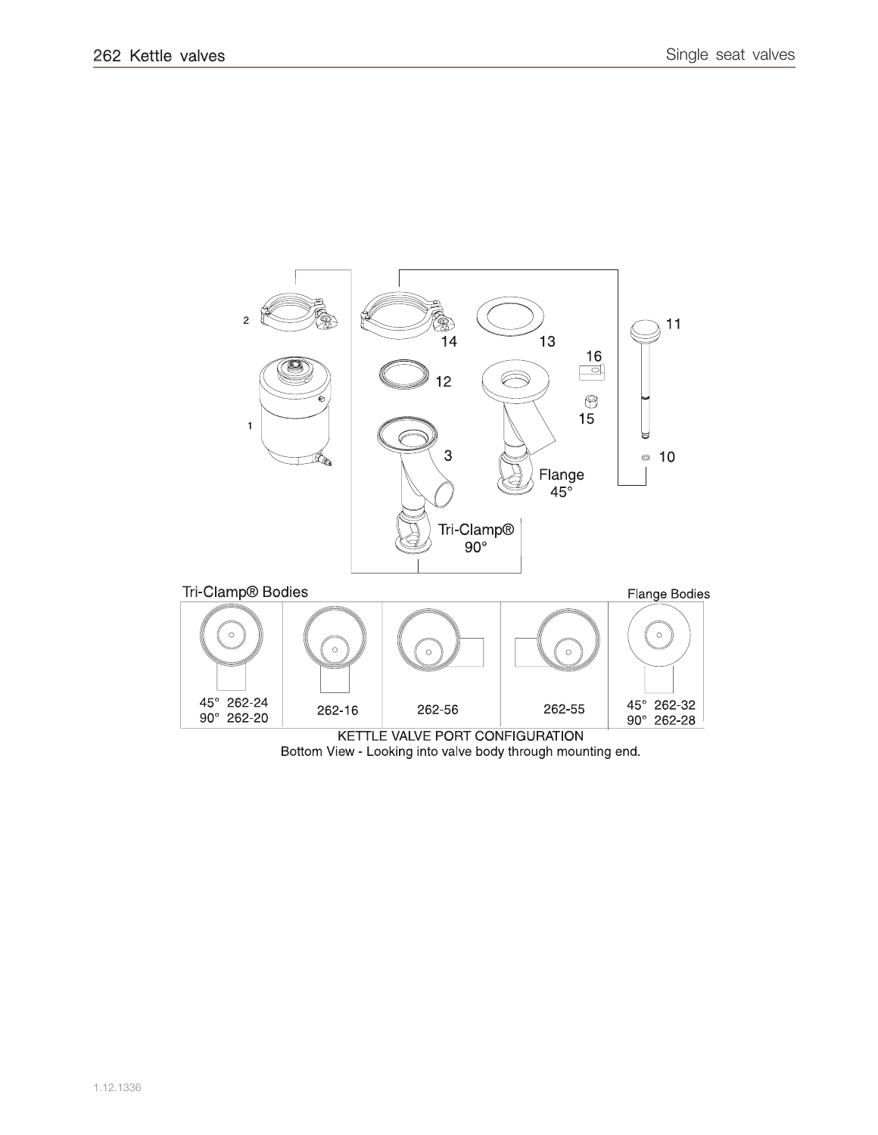

Bottom View - Looking into valve body through mounting end.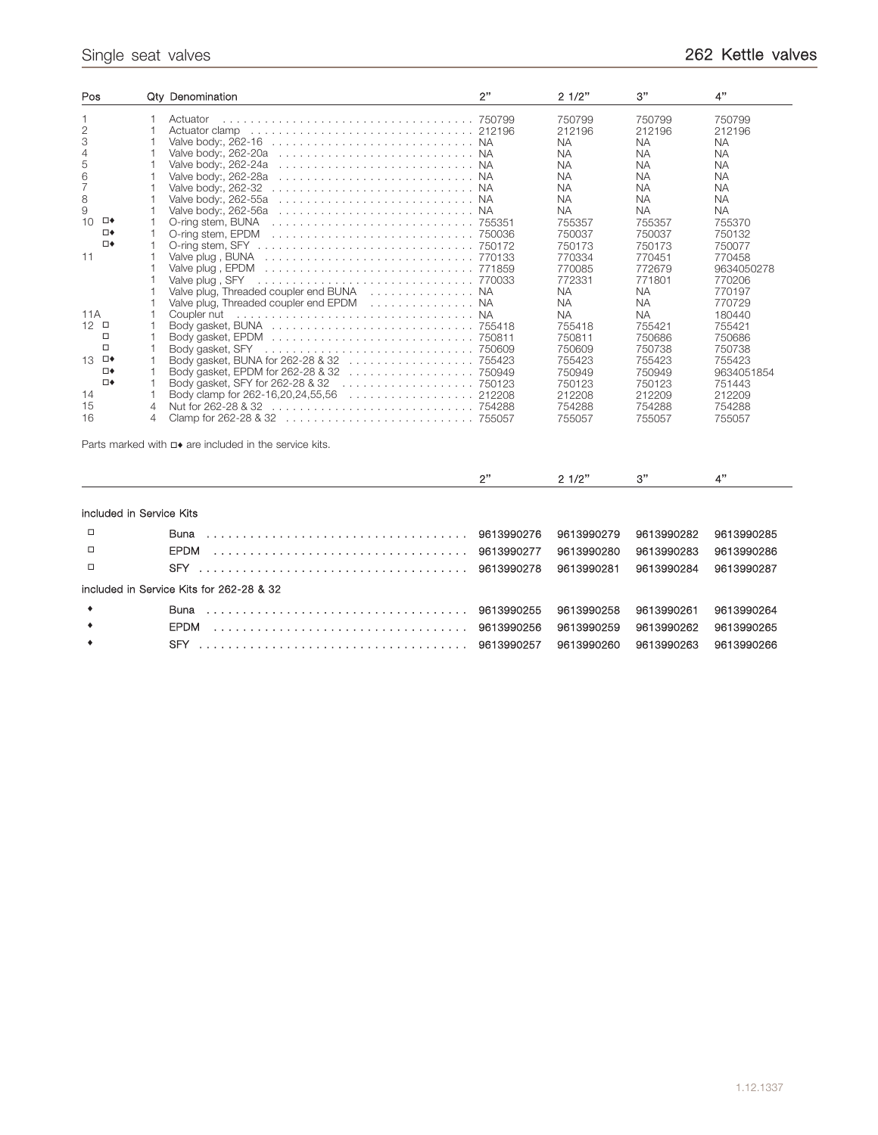| Pos                                                                                                                                                                                   |                                                                                                                                              | Qty Denomination                                                                                                                                                                                                                                                                                                                                                                                                                                                            | 2"         | 21/2"                                                                                                                                                                                                                                                                                        | 3"                                                                                                                                                                                                                                                                                                       | 4"                                                                                                                                                                                                                                                                                                      |  |
|---------------------------------------------------------------------------------------------------------------------------------------------------------------------------------------|----------------------------------------------------------------------------------------------------------------------------------------------|-----------------------------------------------------------------------------------------------------------------------------------------------------------------------------------------------------------------------------------------------------------------------------------------------------------------------------------------------------------------------------------------------------------------------------------------------------------------------------|------------|----------------------------------------------------------------------------------------------------------------------------------------------------------------------------------------------------------------------------------------------------------------------------------------------|----------------------------------------------------------------------------------------------------------------------------------------------------------------------------------------------------------------------------------------------------------------------------------------------------------|---------------------------------------------------------------------------------------------------------------------------------------------------------------------------------------------------------------------------------------------------------------------------------------------------------|--|
| 1<br>$\overline{c}$<br>3<br>4<br>5<br>6<br>$\overline{7}$<br>8<br>9<br>10 $\Box$<br>⊡◆<br>□◆<br>11<br>11A<br>$12$ $\Box$<br>$\Box$<br>□<br>13 $\square$<br>⊡◆<br>□◆<br>14<br>15<br>16 | 1<br>$\overline{1}$<br>$\overline{1}$<br>$\overline{1}$<br>1<br>$\overline{1}$<br>1<br>1<br>1<br>$\mathbf{1}$<br>$\mathbf{1}$<br>1<br>4<br>4 | Actuator<br>Actuator clamp<br>Valve body:, 262-16<br>Valve body:, 262-20a<br>Valve body:, 262-24a<br>Valve body:, 262-28a<br>Valve body:, 262-55a<br>Valve body:, 262-56a<br>O-ring stem, BUNA<br>O-ring stem, EPDM<br>Valve plug, Threaded coupler end BUNA NA<br>Valve plug, Threaded coupler end EPDM<br>. NA<br>Coupler nut<br>Body gasket, SFY<br>Body gasket, SFY for 262-28 & 32<br>. 750123<br>Body clamp for 262-16,20,24,55,56<br>. 212208<br>Nut for 262-28 & 32 |            | 750799<br>212196<br>NA.<br><b>NA</b><br>NA.<br><b>NA</b><br><b>NA</b><br><b>NA</b><br><b>NA</b><br>755357<br>750037<br>750173<br>770334<br>770085<br>772331<br><b>NA</b><br><b>NA</b><br><b>NA</b><br>755418<br>750811<br>750609<br>755423<br>750949<br>750123<br>212208<br>754288<br>755057 | 750799<br>212196<br><b>NA</b><br><b>NA</b><br><b>NA</b><br><b>NA</b><br><b>NA</b><br><b>NA</b><br><b>NA</b><br>755357<br>750037<br>750173<br>770451<br>772679<br>771801<br><b>NA</b><br><b>NA</b><br><b>NA</b><br>755421<br>750686<br>750738<br>755423<br>750949<br>750123<br>212209<br>754288<br>755057 | 750799<br>212196<br><b>NA</b><br><b>NA</b><br><b>NA</b><br><b>NA</b><br><b>NA</b><br><b>NA</b><br><b>NA</b><br>755370<br>750132<br>750077<br>770458<br>9634050278<br>770206<br>770197<br>770729<br>180440<br>755421<br>750686<br>750738<br>755423<br>9634051854<br>751443<br>212209<br>754288<br>755057 |  |
|                                                                                                                                                                                       |                                                                                                                                              |                                                                                                                                                                                                                                                                                                                                                                                                                                                                             |            |                                                                                                                                                                                                                                                                                              |                                                                                                                                                                                                                                                                                                          |                                                                                                                                                                                                                                                                                                         |  |
|                                                                                                                                                                                       |                                                                                                                                              | Parts marked with $\Box\bullet$ are included in the service kits.                                                                                                                                                                                                                                                                                                                                                                                                           |            |                                                                                                                                                                                                                                                                                              |                                                                                                                                                                                                                                                                                                          |                                                                                                                                                                                                                                                                                                         |  |
|                                                                                                                                                                                       |                                                                                                                                              |                                                                                                                                                                                                                                                                                                                                                                                                                                                                             | 2"         | 21/2"                                                                                                                                                                                                                                                                                        | 3"                                                                                                                                                                                                                                                                                                       | 4"                                                                                                                                                                                                                                                                                                      |  |
| included in Service Kits                                                                                                                                                              |                                                                                                                                              |                                                                                                                                                                                                                                                                                                                                                                                                                                                                             |            |                                                                                                                                                                                                                                                                                              |                                                                                                                                                                                                                                                                                                          |                                                                                                                                                                                                                                                                                                         |  |
| □                                                                                                                                                                                     |                                                                                                                                              | Buna                                                                                                                                                                                                                                                                                                                                                                                                                                                                        | 9613990276 | 9613990279                                                                                                                                                                                                                                                                                   | 9613990282                                                                                                                                                                                                                                                                                               | 9613990285                                                                                                                                                                                                                                                                                              |  |
| □                                                                                                                                                                                     |                                                                                                                                              | <b>EPDM</b>                                                                                                                                                                                                                                                                                                                                                                                                                                                                 | 9613990277 | 9613990280                                                                                                                                                                                                                                                                                   | 9613990283                                                                                                                                                                                                                                                                                               | 9613990286                                                                                                                                                                                                                                                                                              |  |
| □                                                                                                                                                                                     |                                                                                                                                              | SFY                                                                                                                                                                                                                                                                                                                                                                                                                                                                         | 9613990278 | 9613990281                                                                                                                                                                                                                                                                                   | 9613990284                                                                                                                                                                                                                                                                                               | 9613990287                                                                                                                                                                                                                                                                                              |  |
| included in Service Kits for 262-28 & 32                                                                                                                                              |                                                                                                                                              |                                                                                                                                                                                                                                                                                                                                                                                                                                                                             |            |                                                                                                                                                                                                                                                                                              |                                                                                                                                                                                                                                                                                                          |                                                                                                                                                                                                                                                                                                         |  |

| $\bullet$ and $\bullet$ and $\bullet$ |  |  |  |
|---------------------------------------|--|--|--|
| $\bullet$ and the set of $\bullet$    |  |  |  |
| <b>All Services</b>                   |  |  |  |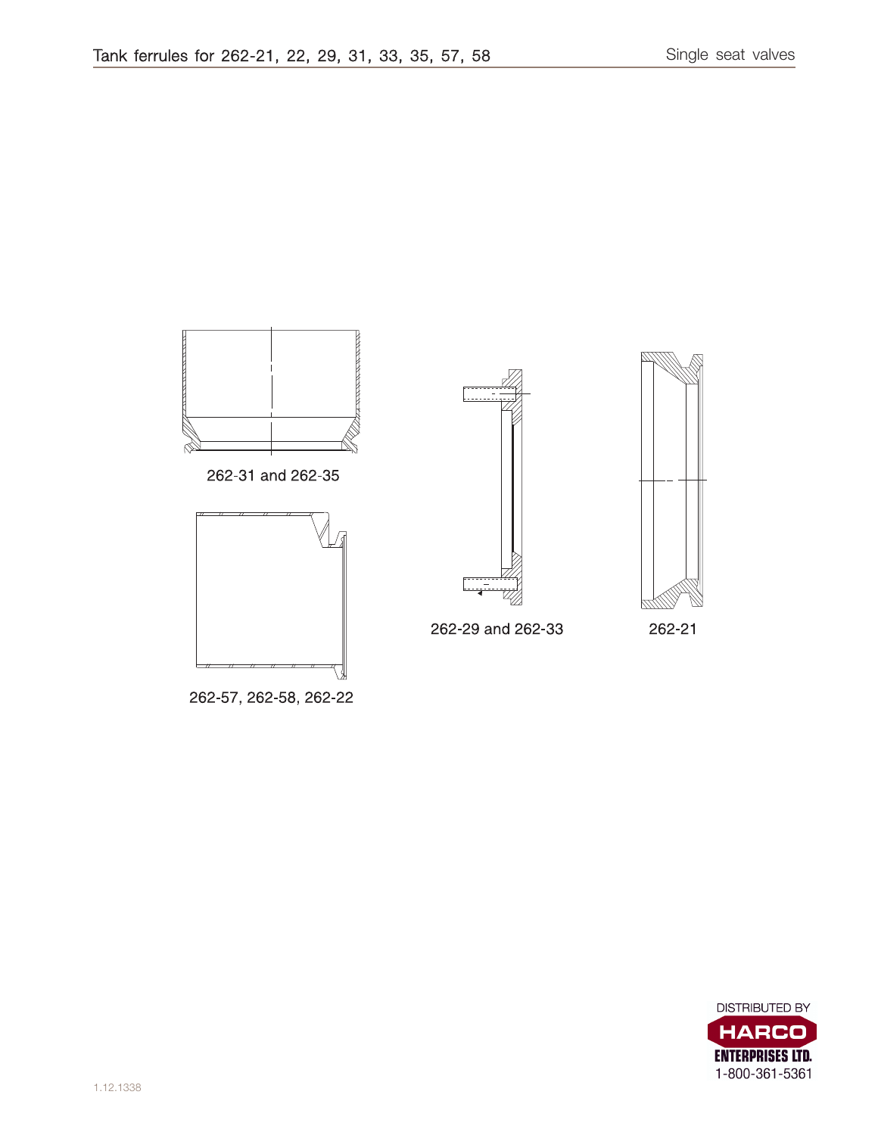

262-57, 262-58, 262-22

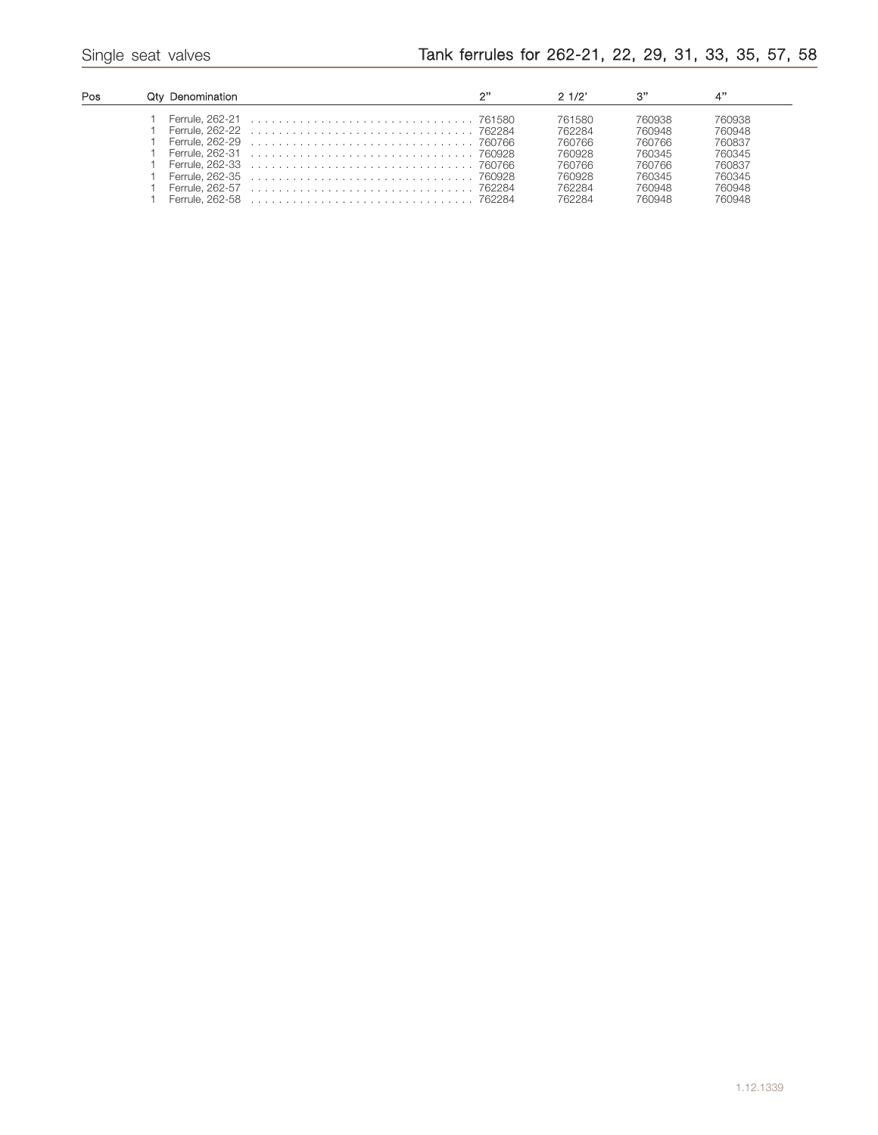| Pos | Qtv Denomination | ייפ | 21/2'  | 3"     | ת "    |
|-----|------------------|-----|--------|--------|--------|
|     |                  |     | 761580 | 760938 | 760938 |
|     |                  |     | 762284 | 760948 | 760948 |
|     |                  |     | 760766 | 760766 | 760837 |
|     |                  |     | 760928 | 760345 | 760345 |
|     |                  |     | 760766 | 760766 | 760837 |
|     |                  |     | 760928 | 760345 | 760345 |
|     |                  |     | 762284 | 760948 | 760948 |
|     |                  |     | 762284 | 760948 | 760948 |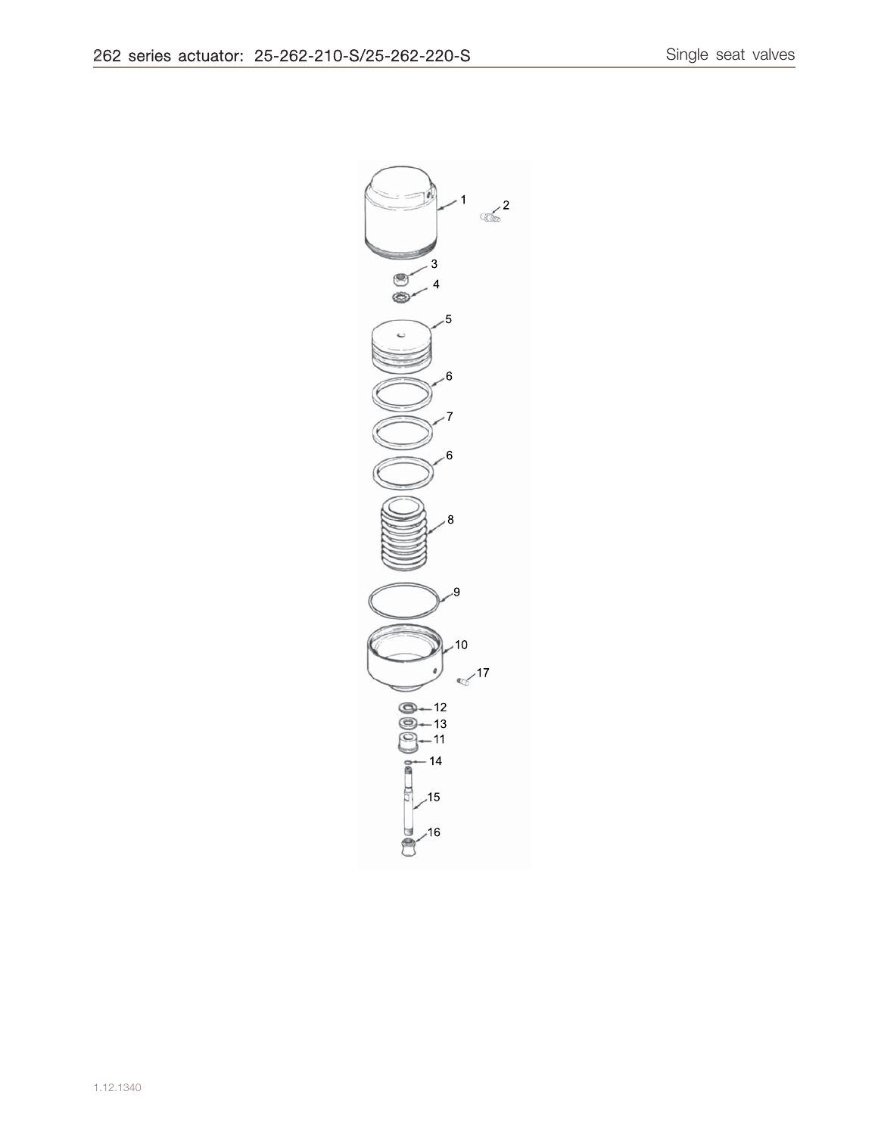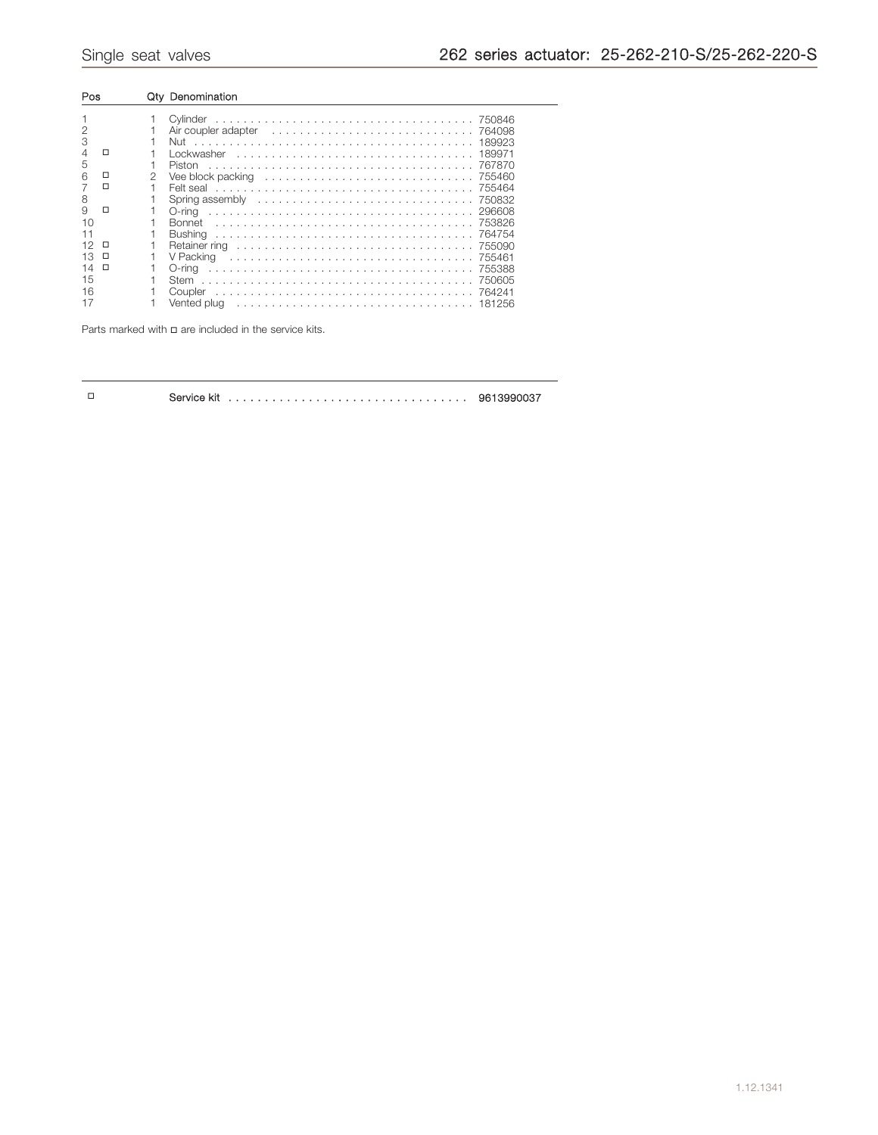| Pos            |   | <b>Qtv</b> Denomination |
|----------------|---|-------------------------|
|                |   |                         |
| $\overline{2}$ |   |                         |
| 3              |   |                         |
|                | п | Lockwasher  189971      |
| 5              |   | Piston                  |
| 6              | □ |                         |
|                | □ |                         |
| 8              |   |                         |
| 9              | □ | O-rina                  |
| 10             |   | Bonnet                  |
|                |   | <b>Bushing</b>          |
| 12             | □ |                         |
| 13             |   |                         |
| 14             | □ | O-rina                  |
| 15             |   |                         |
| 16             |   | Coupler                 |
|                |   |                         |

Parts marked with  $\Box$  are included in the service kits.

a Service kit . . . . . . . . . . . . . . . . . . . . . . . . . . . . . . . . . 9613990037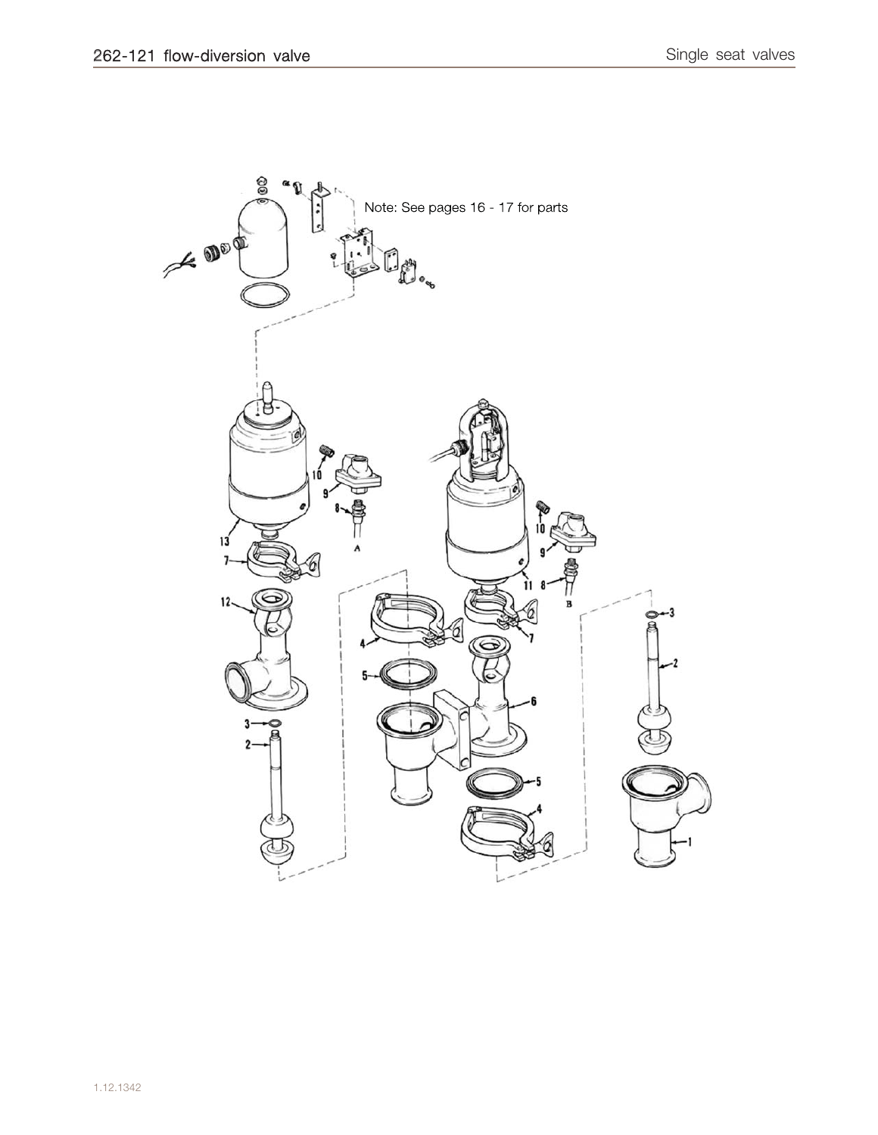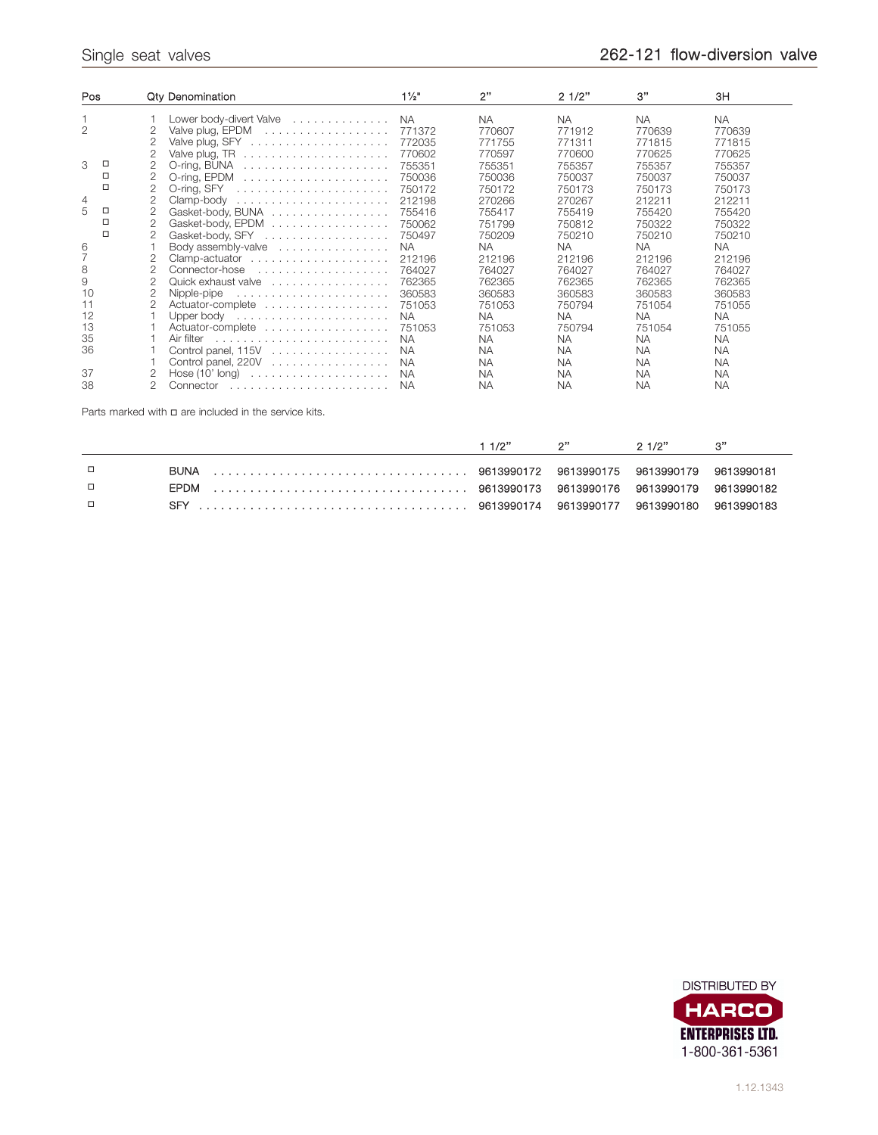| Pos            |                                                            | <b>Qty Denomination</b>                                                         | $1\frac{1}{2}$ | 2"        | 21/2"     | 3"        | ЗH        |  |  |  |
|----------------|------------------------------------------------------------|---------------------------------------------------------------------------------|----------------|-----------|-----------|-----------|-----------|--|--|--|
|                |                                                            | Lower body-divert Valve                                                         | <b>NA</b>      | NA.       | NA.       | <b>NA</b> | <b>NA</b> |  |  |  |
| $\overline{2}$ | 2                                                          | Valve plug, EPDM<br>. The second contract is a second contract of $\mathcal{L}$ | 771372         | 770607    | 771912    | 770639    | 770639    |  |  |  |
|                | 2                                                          |                                                                                 | 772035         | 771755    | 771311    | 771815    | 771815    |  |  |  |
|                | 2                                                          |                                                                                 | 770602         | 770597    | 770600    | 770625    | 770625    |  |  |  |
| 3<br>□         | 2                                                          |                                                                                 | 755351         | 755351    | 755357    | 755357    | 755357    |  |  |  |
| □              | 2                                                          |                                                                                 | 750036         | 750036    | 750037    | 750037    | 750037    |  |  |  |
| $\Box$         | $\overline{c}$                                             |                                                                                 | 750172         | 750172    | 750173    | 750173    | 750173    |  |  |  |
| 4              | $\overline{c}$                                             |                                                                                 | 212198         | 270266    | 270267    | 212211    | 212211    |  |  |  |
| 5<br>$\Box$    | $\overline{2}$                                             | Gasket-body, BUNA                                                               | 755416         | 755417    | 755419    | 755420    | 755420    |  |  |  |
| □              | 2                                                          | Gasket-body, EPDM                                                               | 750062         | 751799    | 750812    | 750322    | 750322    |  |  |  |
| $\Box$         | 2                                                          | Gasket-body, SFY                                                                | 750497         | 750209    | 750210    | 750210    | 750210    |  |  |  |
| 6              |                                                            | Body assembly-valve                                                             | <b>NA</b>      | <b>NA</b> | <b>NA</b> | <b>NA</b> | <b>NA</b> |  |  |  |
|                | 2                                                          |                                                                                 | 212196         | 212196    | 212196    | 212196    | 212196    |  |  |  |
| 8              | 2                                                          | Connector-hose                                                                  | 764027         | 764027    | 764027    | 764027    | 764027    |  |  |  |
| 9              | 2                                                          | Quick exhaust valve                                                             | 762365         | 762365    | 762365    | 762365    | 762365    |  |  |  |
| 10             | $\overline{2}$                                             | Nipple-pipe                                                                     | 360583         | 360583    | 360583    | 360583    | 360583    |  |  |  |
| 11             | 2                                                          | Actuator-complete                                                               | 751053         | 751053    | 750794    | 751054    | 751055    |  |  |  |
| 12             |                                                            |                                                                                 | <b>NA</b>      | <b>NA</b> | <b>NA</b> | <b>NA</b> | <b>NA</b> |  |  |  |
| 13             |                                                            | Actuator-complete                                                               | 751053         | 751053    | 750794    | 751054    | 751055    |  |  |  |
| 35             |                                                            | Air filter                                                                      | <b>NA</b>      | <b>NA</b> | <b>NA</b> | <b>NA</b> | <b>NA</b> |  |  |  |
| 36             |                                                            | Control panel, 115V                                                             | <b>NA</b>      | <b>NA</b> | <b>NA</b> | <b>NA</b> | <b>NA</b> |  |  |  |
|                |                                                            |                                                                                 | <b>NA</b>      | <b>NA</b> | <b>NA</b> | <b>NA</b> | <b>NA</b> |  |  |  |
| 37             | 2                                                          | Hose $(10'$ long) $\dots \dots \dots \dots \dots \dots \dots$                   | <b>NA</b>      | <b>NA</b> | <b>NA</b> | <b>NA</b> | <b>NA</b> |  |  |  |
| 38             |                                                            |                                                                                 | <b>NA</b>      | <b>NA</b> | <b>NA</b> | <b>NA</b> | <b>NA</b> |  |  |  |
|                | Parts marked with $\Box$ are included in the service kits. |                                                                                 |                |           |           |           |           |  |  |  |

|        | 11/2" | 2 <sup>n</sup> | 2 1/2"<br>$\mathbf{S}^{n}$ |  |
|--------|-------|----------------|----------------------------|--|
|        |       |                |                            |  |
| $\Box$ |       |                |                            |  |
|        |       |                |                            |  |

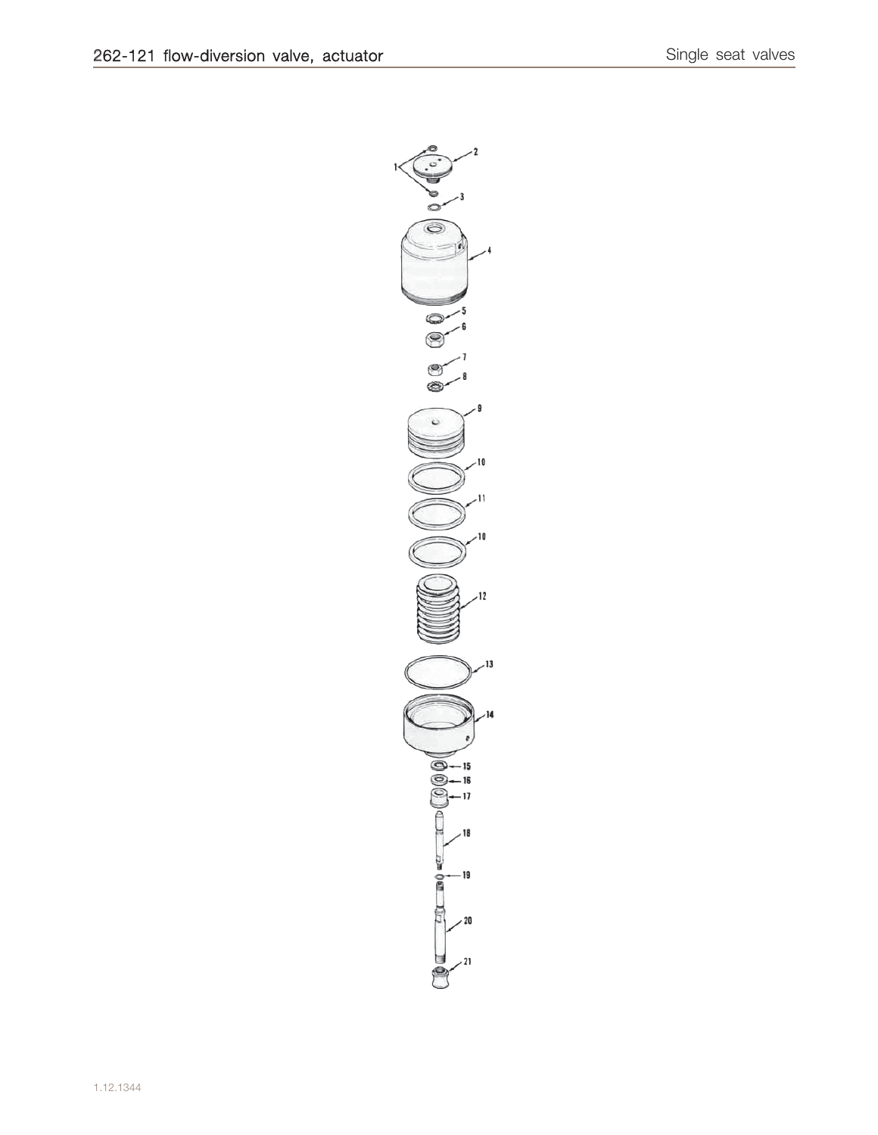$$
\text{Cov} = \text{Cov} = \text{Cov} \left( \text{Cov} \right)
$$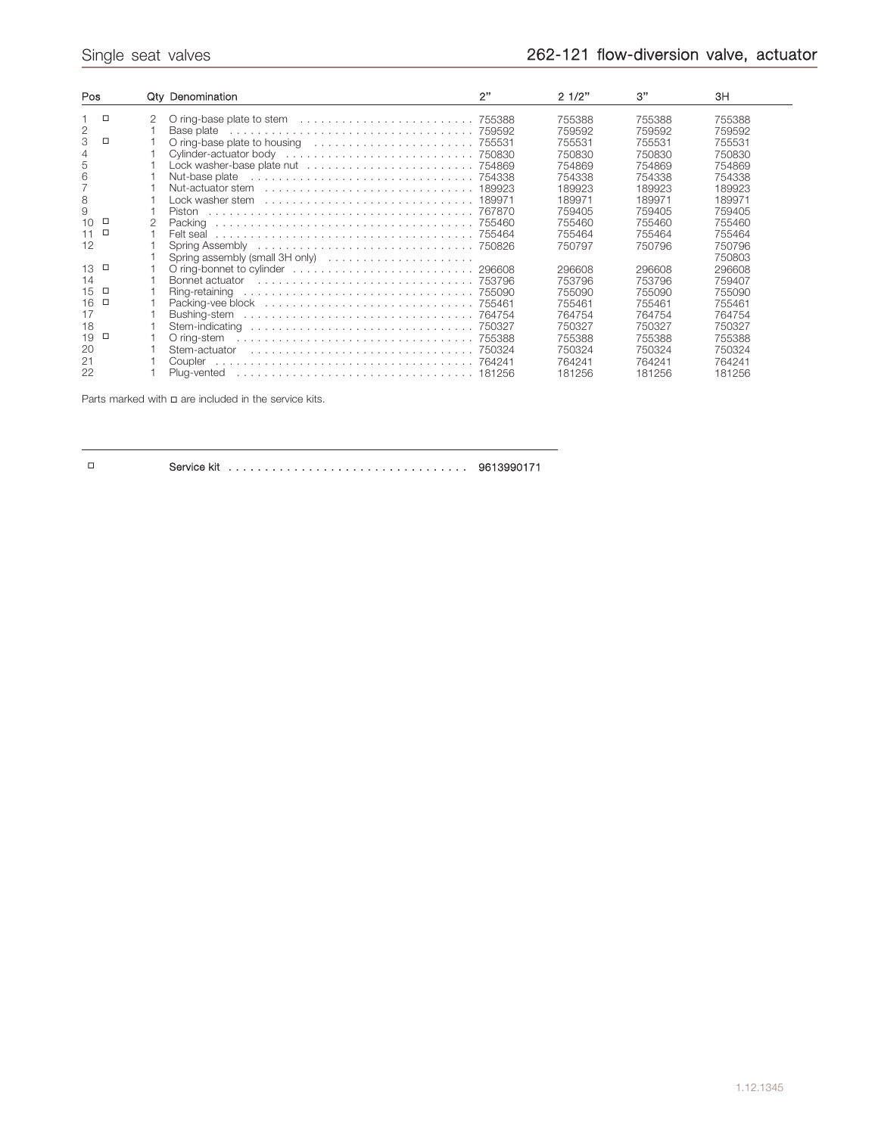| Pos |        | <b>Qty Denomination</b>         | 2" | 21/2"  | 3"     | ЗH     |
|-----|--------|---------------------------------|----|--------|--------|--------|
|     | $\Box$ |                                 |    | 755388 | 755388 | 755388 |
| 2   |        | Base plate                      |    | 759592 | 759592 | 759592 |
| З   | $\Box$ |                                 |    | 755531 | 755531 | 755531 |
|     |        |                                 |    | 750830 | 750830 | 750830 |
| 5   |        |                                 |    | 754869 | 754869 | 754869 |
| 6   |        | Nut-base plate                  |    | 754338 | 754338 | 754338 |
|     |        |                                 |    | 189923 | 189923 | 189923 |
| 8   |        |                                 |    | 189971 | 189971 | 189971 |
| 9   |        |                                 |    | 759405 | 759405 | 759405 |
| 10  | □      |                                 |    | 755460 | 755460 | 755460 |
|     | $\Box$ | Felt seal                       |    | 755464 | 755464 | 755464 |
| 12  |        |                                 |    | 750797 | 750796 | 750796 |
|     |        | Spring assembly (small 3H only) |    |        |        | 750803 |
| 13  | $\Box$ |                                 |    | 296608 | 296608 | 296608 |
| 14  |        |                                 |    | 753796 | 753796 | 759407 |
| 15  | □      |                                 |    | 755090 | 755090 | 755090 |
| 16  | $\Box$ |                                 |    | 755461 | 755461 | 755461 |
| 17  |        |                                 |    | 764754 | 764754 | 764754 |
| 18  |        |                                 |    | 750327 | 750327 | 750327 |
| 19  | $\Box$ |                                 |    | 755388 | 755388 | 755388 |
| 20  |        | Stem-actuator                   |    | 750324 | 750324 | 750324 |
| 21  |        | Coupler                         |    | 764241 | 764241 | 764241 |
| 22  |        |                                 |    | 181256 | 181256 | 181256 |

Parts marked with  $\Box$  are included in the service kits.

a Service kit . . . . . . . . . . . . . . . . . . . . . . . . . . . . . . . . . 9613990171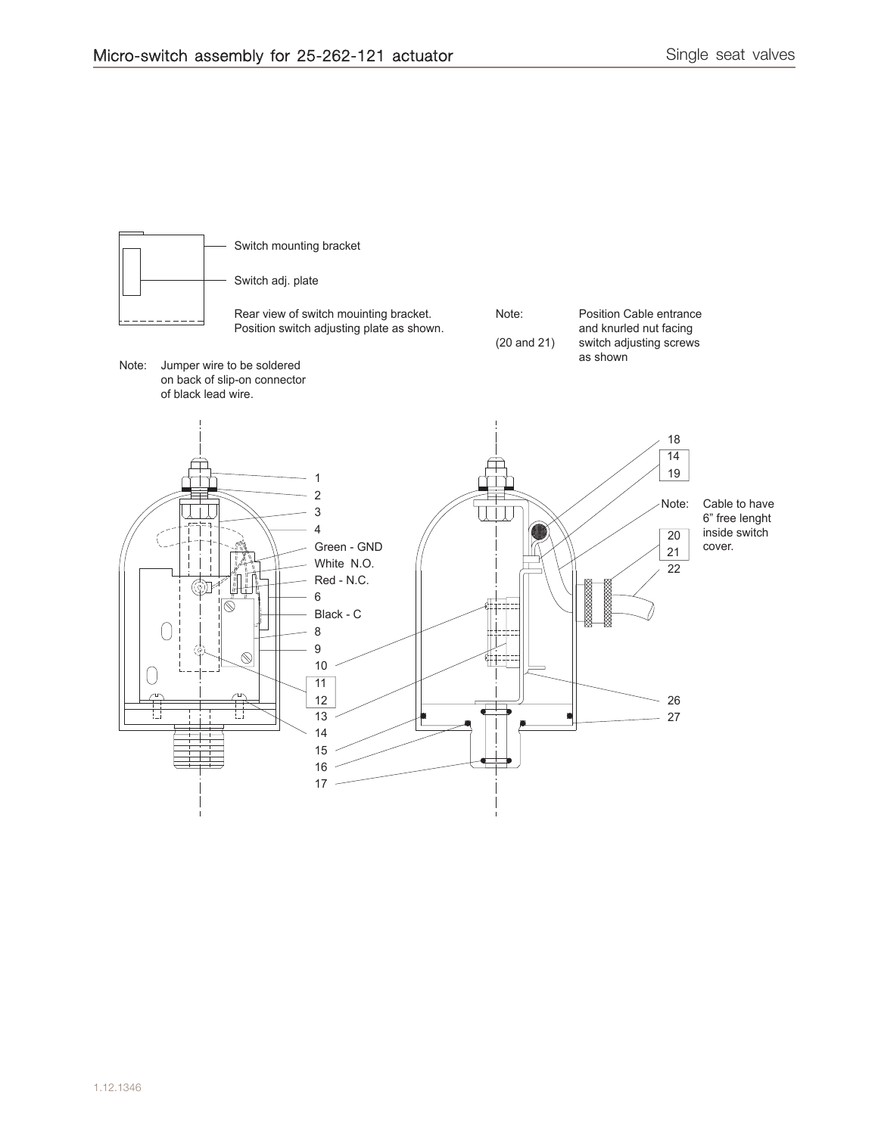